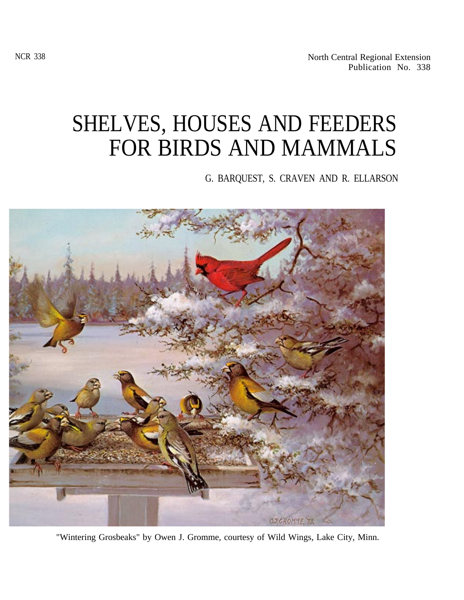NCR 338 North Central Regional Extension Publication No. 338

# SHELVES, HOUSES AND FEEDERS FOR BIRDS AND MAMMALS

G. BARQUEST, S. CRAVEN AND R. ELLARSON



"Wintering Grosbeaks" by Owen J. Gromme, courtesy of Wild Wings, Lake City, Minn.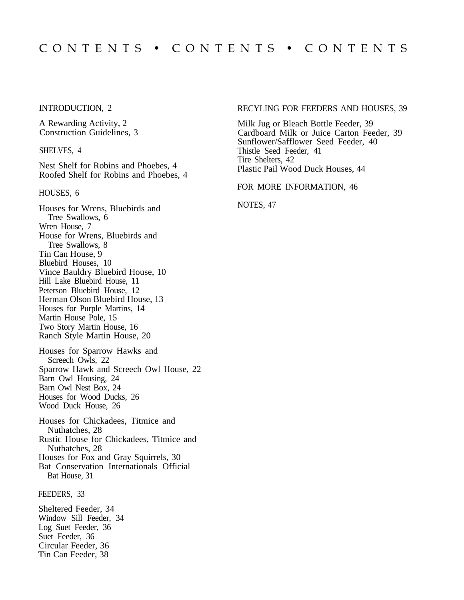#### INTRODUCTION, 2

A Rewarding Activity, 2 Construction Guidelines, 3

#### SHELVES, 4

Nest Shelf for Robins and Phoebes, 4 Roofed Shelf for Robins and Phoebes, 4

#### HOUSES, 6

Houses for Wrens, Bluebirds and Tree Swallows, 6 Wren House, 7 House for Wrens, Bluebirds and Tree Swallows, 8 Tin Can House, 9 Bluebird Houses, 10 Vince Bauldry Bluebird House, 10 Hill Lake Bluebird House, 11 Peterson Bluebird House, 12 Herman Olson Bluebird House, 13 Houses for Purple Martins, 14 Martin House Pole, 15 Two Story Martin House, 16 Ranch Style Martin House, 20 Houses for Sparrow Hawks and Screech Owls, 22 Sparrow Hawk and Screech Owl House, 22 Barn Owl Housing, 24 Barn Owl Nest Box, 24 Houses for Wood Ducks, 26 Wood Duck House, 26 Houses for Chickadees, Titmice and Nuthatches, 28

Rustic House for Chickadees, Titmice and Nuthatches, 28 Houses for Fox and Gray Squirrels, 30

Bat Conservation Internationals Official Bat House, 31

#### FEEDERS, 33

Sheltered Feeder, 34 Window Sill Feeder, 34 Log Suet Feeder, 36 Suet Feeder, 36 Circular Feeder, 36 Tin Can Feeder, 38

#### RECYLING FOR FEEDERS AND HOUSES, 39

Milk Jug or Bleach Bottle Feeder, 39 Cardboard Milk or Juice Carton Feeder, 39 Sunflower/Safflower Seed Feeder, 40 Thistle Seed Feeder, 41 Tire Shelters, 42 Plastic Pail Wood Duck Houses, 44

FOR MORE INFORMATION, 46

NOTES, 47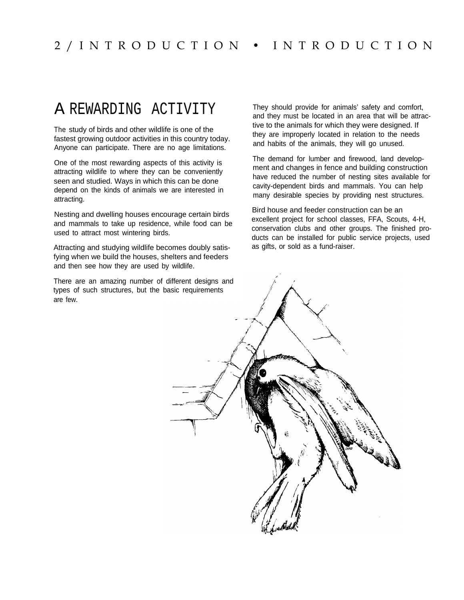# A REWARDING ACTIVITY

The study of birds and other wildlife is one of the fastest growing outdoor activities in this country today. Anyone can participate. There are no age limitations.

One of the most rewarding aspects of this activity is attracting wildlife to where they can be conveniently seen and studied. Ways in which this can be done depend on the kinds of animals we are interested in attracting.

Nesting and dwelling houses encourage certain birds and mammals to take up residence, while food can be used to attract most wintering birds.

Attracting and studying wildlife becomes doubly satisfying when we build the houses, shelters and feeders and then see how they are used by wildlife.

There are an amazing number of different designs and types of such structures, but the basic requirements are few.

They should provide for animals' safety and comfort, and they must be located in an area that will be attractive to the animals for which they were designed. If they are improperly located in relation to the needs and habits of the animals, they will go unused.

The demand for lumber and firewood, land development and changes in fence and building construction have reduced the number of nesting sites available for cavity-dependent birds and mammals. You can help many desirable species by providing nest structures.

Bird house and feeder construction can be an excellent project for school classes, FFA, Scouts, 4-H, conservation clubs and other groups. The finished products can be installed for public service projects, used as gifts, or sold as a fund-raiser.

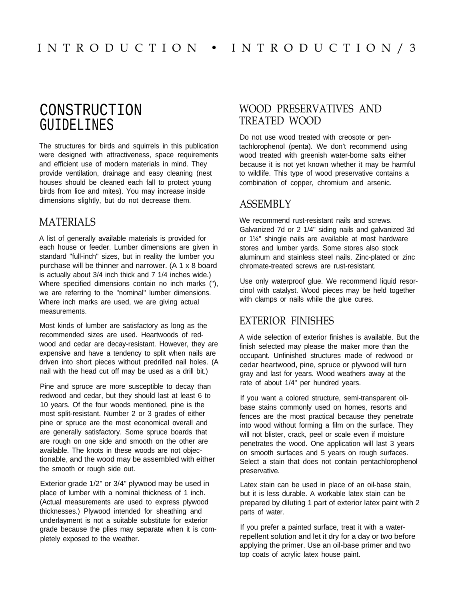# CONSTRUCTION GUIDELINES

The structures for birds and squirrels in this publication were designed with attractiveness, space requirements and efficient use of modern materials in mind. They provide ventilation, drainage and easy cleaning (nest houses should be cleaned each fall to protect young birds from lice and mites). You may increase inside dimensions slightly, but do not decrease them.

# **MATERIALS**

A list of generally available materials is provided for each house or feeder. Lumber dimensions are given in standard "full-inch" sizes, but in reality the lumber you purchase will be thinner and narrower. (A 1 x 8 board is actually about 3/4 inch thick and 7 1/4 inches wide.) Where specified dimensions contain no inch marks ("), we are referring to the "nominal" lumber dimensions. Where inch marks are used, we are giving actual measurements.

Most kinds of lumber are satisfactory as long as the recommended sizes are used. Heartwoods of redwood and cedar are decay-resistant. However, they are expensive and have a tendency to split when nails are driven into short pieces without predrilled nail holes. (A nail with the head cut off may be used as a drill bit.)

Pine and spruce are more susceptible to decay than redwood and cedar, but they should last at least 6 to 10 years. Of the four woods mentioned, pine is the most split-resistant. Number 2 or 3 grades of either pine or spruce are the most economical overall and are generally satisfactory. Some spruce boards that are rough on one side and smooth on the other are available. The knots in these woods are not objectionable, and the wood may be assembled with either the smooth or rough side out.

Exterior grade 1/2" or 3/4" plywood may be used in place of lumber with a nominal thickness of 1 inch. (Actual measurements are used to express plywood thicknesses.) Plywood intended for sheathing and underlayment is not a suitable substitute for exterior grade because the plies may separate when it is completely exposed to the weather.

# WOOD PRESERVATIVES AND TREATED WOOD

Do not use wood treated with creosote or pentachlorophenol (penta). We don't recommend using wood treated with greenish water-borne salts either because it is not yet known whether it may be harmful to wildlife. This type of wood preservative contains a combination of copper, chromium and arsenic.

#### ASSEMBLY

We recommend rust-resistant nails and screws. Galvanized 7d or 2 1/4" siding nails and galvanized 3d or 1¼" shingle nails are available at most hardware stores and lumber yards. Some stores also stock aluminum and stainless steel nails. Zinc-plated or zinc chromate-treated screws are rust-resistant.

Use only waterproof glue. We recommend liquid resorcinol with catalyst. Wood pieces may be held together with clamps or nails while the glue cures.

# EXTERIOR FINISHES

A wide selection of exterior finishes is available. But the finish selected may please the maker more than the occupant. Unfinished structures made of redwood or cedar heartwood, pine, spruce or plywood will turn gray and last for years. Wood weathers away at the rate of about 1/4" per hundred years.

If you want a colored structure, semi-transparent oilbase stains commonly used on homes, resorts and fences are the most practical because they penetrate into wood without forming a film on the surface. They will not blister, crack, peel or scale even if moisture penetrates the wood. One application will last 3 years on smooth surfaces and 5 years on rough surfaces. Select a stain that does not contain pentachlorophenol preservative.

Latex stain can be used in place of an oil-base stain, but it is less durable. A workable latex stain can be prepared by diluting 1 part of exterior latex paint with 2 parts of water.

If you prefer a painted surface, treat it with a waterrepellent solution and let it dry for a day or two before applying the primer. Use an oil-base primer and two top coats of acrylic latex house paint.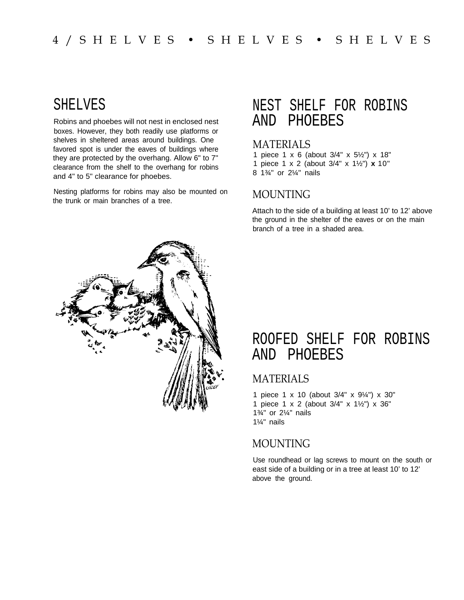Robins and phoebes will not nest in enclosed nest  $\quad\quad\quad$  AND PHOEBES boxes. However, they both readily use platforms or shelves in sheltered areas around buildings. One favored spot is under the eaves of buildings where they are protected by the overhang. Allow 6" to 7" clearance from the shelf to the overhang for robins and 4" to 5" clearance for phoebes.

Nesting platforms for robins may also be mounted on Nesting platforms for robins may also be mounted on MOUNTING<br>the trunk or main branches of a tree.

# SHELVES NEST SHELF FOR ROBINS

#### MATERIALS

1 piece 1 x 6 (about 3/4" x 5½") x 18" 1 piece 1 x 2 (about 3/4" x 1½") **x** 10" 8 1¾" or 2¼" nails

Attach to the side of a building at least 10' to 12' above the ground in the shelter of the eaves or on the main branch of a tree in a shaded area.



# ROOFED SHELF FOR ROBINS AND PHOEBES

# MATERIALS

1 piece 1 x 10 (about 3/4" x 9¼") x 30" 1 piece 1 x 2 (about 3/4" x 1½") x 36" 1¾" or 2¼" nails 1¼" nails

#### MOUNTING

Use roundhead or lag screws to mount on the south or east side of a building or in a tree at least 10' to 12' above the ground.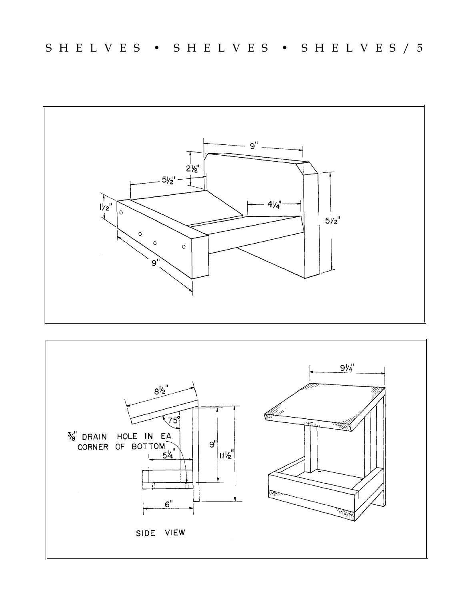

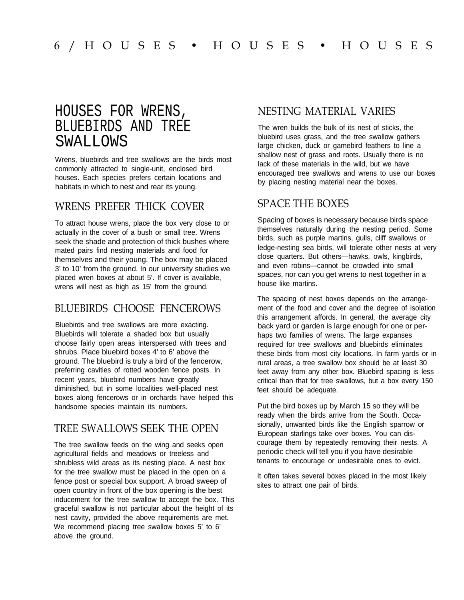# HOUSES FOR WRENS, BLUEBIRDS AND TREE SWALLOWS

Wrens, bluebirds and tree swallows are the birds most commonly attracted to single-unit, enclosed bird houses. Each species prefers certain locations and habitats in which to nest and rear its young.

# WRENS PREFER THICK COVER

To attract house wrens, place the box very close to or actually in the cover of a bush or small tree. Wrens seek the shade and protection of thick bushes where mated pairs find nesting materials and food for themselves and their young. The box may be placed 3' to 10' from the ground. In our university studies we placed wren boxes at about 5'. If cover is available, wrens will nest as high as 15' from the ground.

# BLUEBIRDS CHOOSE FENCEROWS

Bluebirds and tree swallows are more exacting. Bluebirds will tolerate a shaded box but usually choose fairly open areas interspersed with trees and shrubs. Place bluebird boxes 4' to 6' above the ground. The bluebird is truly a bird of the fencerow, preferring cavities of rotted wooden fence posts. In recent years, bluebird numbers have greatly diminished, but in some localities well-placed nest boxes along fencerows or in orchards have helped this handsome species maintain its numbers.

# TREE SWALLOWS SEEK THE OPEN

The tree swallow feeds on the wing and seeks open agricultural fields and meadows or treeless and shrubless wild areas as its nesting place. A nest box for the tree swallow must be placed in the open on a fence post or special box support. A broad sweep of open country in front of the box opening is the best inducement for the tree swallow to accept the box. This graceful swallow is not particular about the height of its nest cavity, provided the above requirements are met. We recommend placing tree swallow boxes 5' to 6' above the ground.

# NESTING MATERIAL VARIES

The wren builds the bulk of its nest of sticks, the bluebird uses grass, and the tree swallow gathers large chicken, duck or gamebird feathers to line a shallow nest of grass and roots. Usually there is no lack of these materials in the wild, but we have encouraged tree swallows and wrens to use our boxes by placing nesting material near the boxes.

# SPACE THE BOXES

Spacing of boxes is necessary because birds space themselves naturally during the nesting period. Some birds, such as purple martins, gulls, cliff swallows or ledge-nesting sea birds, will tolerate other nests at very close quarters. But others—hawks, owls, kingbirds, and even robins—cannot be crowded into small spaces, nor can you get wrens to nest together in a house like martins.

The spacing of nest boxes depends on the arrangement of the food and cover and the degree of isolation this arrangement affords. In general, the average city back yard or garden is large enough for one or perhaps two families of wrens. The large expanses required for tree swallows and bluebirds eliminates these birds from most city locations. In farm yards or in rural areas, a tree swallow box should be at least 30 feet away from any other box. Bluebird spacing is less critical than that for tree swallows, but a box every 150 feet should be adequate.

Put the bird boxes up by March 15 so they will be ready when the birds arrive from the South. Occasionally, unwanted birds like the English sparrow or European starlings take over boxes. You can discourage them by repeatedly removing their nests. A periodic check will tell you if you have desirable tenants to encourage or undesirable ones to evict.

It often takes several boxes placed in the most likely sites to attract one pair of birds.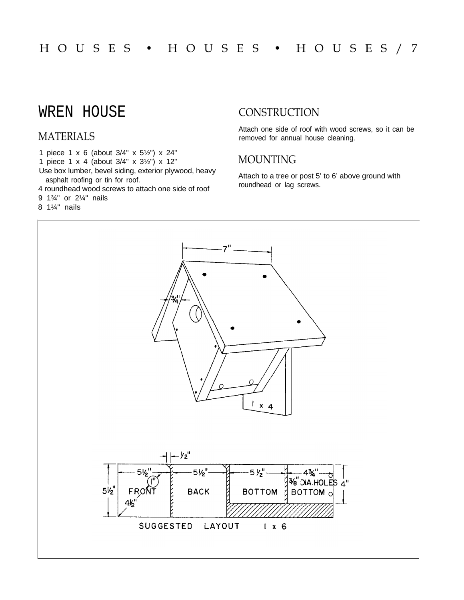# WREN HOUSE

# MATERIALS

- 1 piece 1 x 6 (about 3/4" x 5½") x 24"
- 1 piece 1 x 4 (about 3/4" x 3½") x 12"
- Use box lumber, bevel siding, exterior plywood, heavy asphalt roofing or tin for roof.
- 4 roundhead wood screws to attach one side of roof
- 9 1¾" or 2¼" nails
- 8 1¼" nails

#### **CONSTRUCTION**

Attach one side of roof with wood screws, so it can be removed for annual house cleaning.

# MOUNTING

Attach to a tree or post 5' to 6' above ground with roundhead or lag screws.

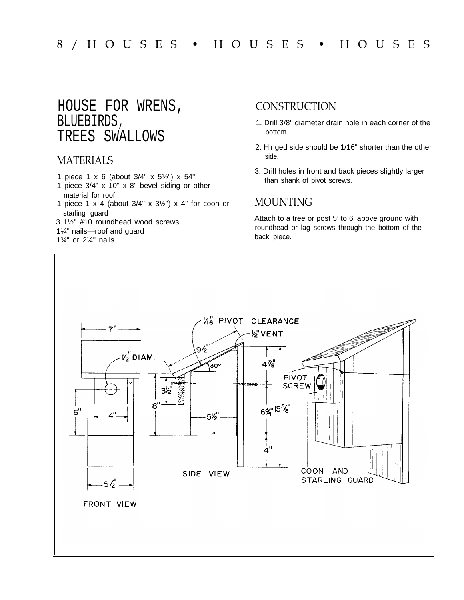# HOUSE FOR WRENS, BLUEBIRDS, TREES SWALLOWS

# MATERIALS side.

- 1 piece 1 x 6 (about 3/4" x 5½") x 54"
- 1 piece 3/4" x 10" x 8" bevel siding or other material for roof
- 1 piece 1 x 4 (about  $3/4$ " x  $3\frac{1}{2}$ ") x 4" for coon or starling guard
- 3 1½" #10 roundhead wood screws
- 1¼" nails—roof and guard
- 1¾" or 2¼" nails

#### **CONSTRUCTION**

- 1. Drill 3/8" diameter drain hole in each corner of the bottom.
- 2. Hinged side should be 1/16" shorter than the other
- 3. Drill holes in front and back pieces slightly larger than shank of pivot screws.

#### MOUNTING

Attach to a tree or post 5' to 6' above ground with roundhead or lag screws through the bottom of the back piece.

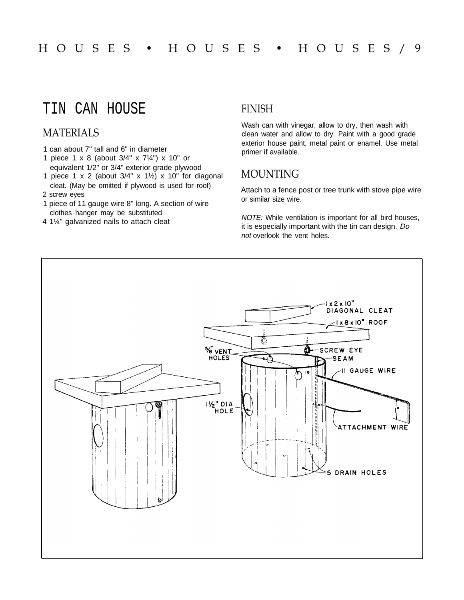# TIN CAN HOUSE

# MATERIALS

- 1 can about 7" tall and 6" in diameter
- 1 piece 1 x 8 (about 3/4" x 7¼") x 10" or equivalent 1/2" or 3/4" exterior grade plywood
- 1 piece 1 x 2 (about  $3/4$ " x  $1\frac{1}{2}$ ) x 10" for diagonal cleat. (May be omitted if plywood is used for roof)
- 2 screw eyes
- 1 piece of 11 gauge wire 8" long. A section of wire clothes hanger may be substituted
- 4 1¼" galvanized nails to attach cleat

#### FINISH

Wash can with vinegar, allow to dry, then wash with clean water and allow to dry. Paint with a good grade exterior house paint, metal paint or enamel. Use metal primer if available.

#### MOUNTING

Attach to a fence post or tree trunk with stove pipe wire or similar size wire.

NOTE: While ventilation is important for all bird houses, it is especially important with the tin can design. Do not overlook the vent holes.

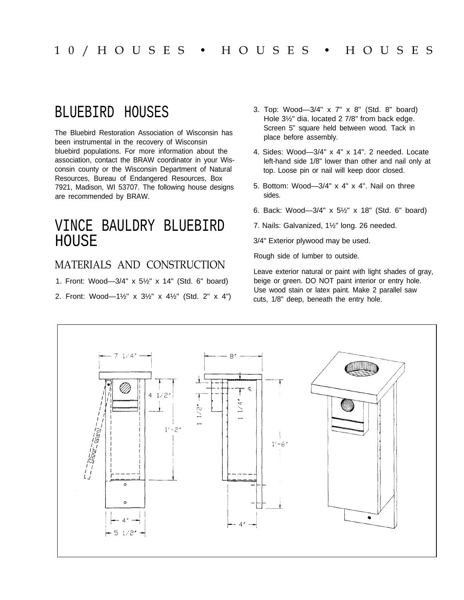# BLUEBIRD HOUSES

The Bluebird Restoration Association of Wisconsin has been instrumental in the recovery of Wisconsin bluebird populations. For more information about the association, contact the BRAW coordinator in your Wisconsin county or the Wisconsin Department of Natural Resources, Bureau of Endangered Resources, Box 7921, Madison, WI 53707. The following house designs are recommended by BRAW.

# VINCE BAULDRY BLUEBIRD HOUSE

#### MATERIALS AND CONSTRUCTION

- 1. Front: Wood—3/4" x 5½" x 14" (Std. 6" board)
- 2. Front: Wood—1½" x 3½" x 4½" (Std. 2" x 4")
- 3. Top: Wood—3/4" x 7" x 8" (Std. 8" board) Hole 3½" dia. located 2 7/8" from back edge. Screen 5" square held between wood. Tack in place before assembly.
- 4. Sides: Wood—3/4" x 4" x 14". 2 needed. Locate left-hand side 1/8" lower than other and nail only at top. Loose pin or nail will keep door closed.
- 5. Bottom: Wood—3/4" x 4" x 4". Nail on three sides.
- 6. Back: Wood—3/4" x 5½" x 18" (Std. 6" board)
- 7. Nails: Galvanized, 1½" long. 26 needed.

3/4" Exterior plywood may be used.

Rough side of lumber to outside.

Leave exterior natural or paint with light shades of gray, beige or green. DO NOT paint interior or entry hole. Use wood stain or latex paint. Make 2 parallel saw cuts, 1/8" deep, beneath the entry hole.

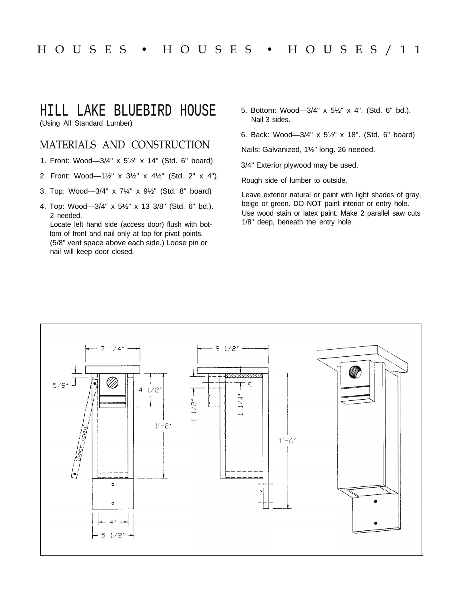# HOUSES • HOUSES • HOUSES/11

#### HILL LAKE BLUEBIRD HOUSE (Using All Standard Lumber)

#### MATERIALS AND CONSTRUCTION

- 1. Front: Wood—3/4" x 5½" x 14" (Std. 6" board)
- 2. Front: Wood—1½" x 3½" x 4½" (Std. 2" x 4").
- 3. Top: Wood—3/4" x 7¼" x 9½" (Std. 8" board)
- 4. Top: Wood—3/4" x 5½" x 13 3/8" (Std. 6" bd.). 2 needed.

Locate left hand side (access door) flush with bottom of front and nail only at top for pivot points. (5/8" vent space above each side.) Loose pin or nail will keep door closed.

- 5. Bottom: Wood—3/4" x 5½" x 4". (Std. 6" bd.). Nail 3 sides.
- 6. Back: Wood—3/4" x 5½" x 18". (Std. 6" board)
- Nails: Galvanized, 1½" long. 26 needed.

3/4" Exterior plywood may be used.

Rough side of lumber to outside.

Leave exterior natural or paint with light shades of gray, beige or green. DO NOT paint interior or entry hole. Use wood stain or latex paint. Make 2 parallel saw cuts 1/8" deep, beneath the entry hole.

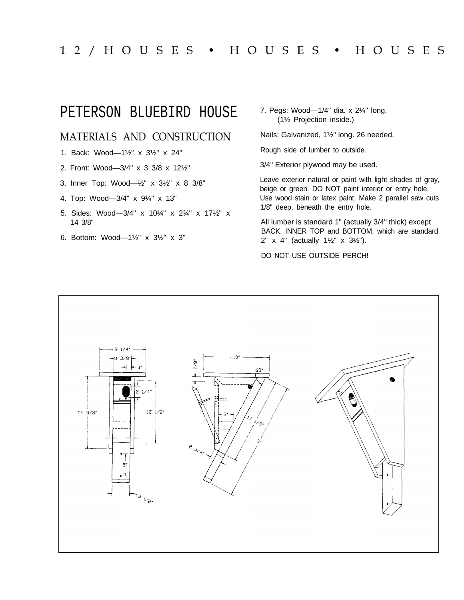# 12/HOUSES • HOUSES • HOUSES

# PETERSON BLUEBIRD HOUSE

# MATERIALS AND CONSTRUCTION

- 1. Back: Wood—1½" x 3½" x 24"
- 2. Front: Wood—3/4" x 3 3/8 x 12½"
- 3. Inner Top: Wood—½" x 3½" x 8 3/8"
- 4. Top: Wood—3/4" x 9¼" x 13"
- 5. Sides: Wood—3/4" x 10¼" x 2¾" x 17½" x 14 3/8"
- 6. Bottom: Wood—1½" x 3½" x 3"

7. Pegs: Wood—1/4" dia. x 2¼" long. (1½ Projection inside.)

Nails: Galvanized, 1½" long. 26 needed.

Rough side of lumber to outside.

3/4" Exterior plywood may be used.

Leave exterior natural or paint with light shades of gray, beige or green. DO NOT paint interior or entry hole. Use wood stain or latex paint. Make 2 parallel saw cuts 1/8" deep, beneath the entry hole.

All lumber is standard 1" (actually 3/4" thick) except BACK, INNER TOP and BOTTOM, which are standard 2" x 4" (actually 1½" x 3½").

DO NOT USE OUTSIDE PERCH!

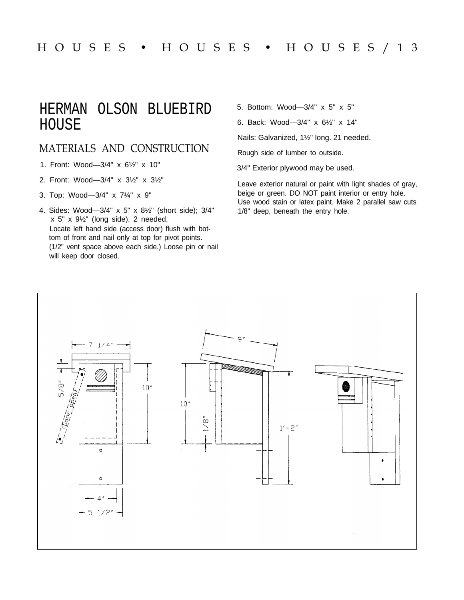# HERMAN OLSON BLUEBIRD 5. Bottom: Wood-3/4" x 5" x 5" HOUSE 6. Back: Wood—3/4" x 6½" x 14"

# MATERIALS AND CONSTRUCTION

- 1. Front: Wood—3/4" x 6½" x 10"
- 2. Front: Wood—3/4" x 3½" x 3½"
- 3. Top: Wood—3/4" x 7¼" x 9"
- 4. Sides: Wood—3/4" x 5" x 8½" (short side); 3/4" x 5" x 9½" (long side). 2 needed. Locate left hand side (access door) flush with bottom of front and nail only at top for pivot points. (1/2" vent space above each side.) Loose pin or nail will keep door closed.

Nails: Galvanized, 1½" long. 21 needed.

Rough side of lumber to outside.

3/4" Exterior plywood may be used.

Leave exterior natural or paint with light shades of gray, beige or green. DO NOT paint interior or entry hole. Use wood stain or latex paint. Make 2 parallel saw cuts 1/8" deep, beneath the entry hole.

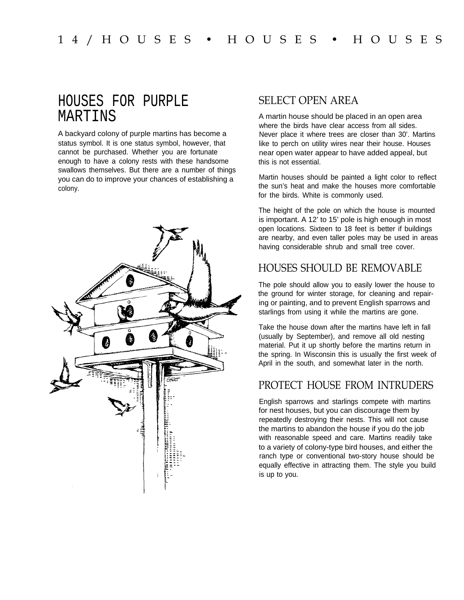# HOUSES FOR PURPLE MARTINS

A backyard colony of purple martins has become a status symbol. It is one status symbol, however, that cannot be purchased. Whether you are fortunate enough to have a colony rests with these handsome swallows themselves. But there are a number of things you can do to improve your chances of establishing a colony.



# SELECT OPEN AREA

A martin house should be placed in an open area where the birds have clear access from all sides. Never place it where trees are closer than 30'. Martins like to perch on utility wires near their house. Houses near open water appear to have added appeal, but this is not essential.

Martin houses should be painted a light color to reflect the sun's heat and make the houses more comfortable for the birds. White is commonly used.

The height of the pole on which the house is mounted is important. A 12' to 15' pole is high enough in most open locations. Sixteen to 18 feet is better if buildings are nearby, and even taller poles may be used in areas having considerable shrub and small tree cover.

# HOUSES SHOULD BE REMOVABLE

The pole should allow you to easily lower the house to the ground for winter storage, for cleaning and repairing or painting, and to prevent English sparrows and starlings from using it while the martins are gone.

Take the house down after the martins have left in fall (usually by September), and remove all old nesting material. Put it up shortly before the martins return in the spring. In Wisconsin this is usually the first week of April in the south, and somewhat later in the north.

# PROTECT HOUSE FROM INTRUDERS

English sparrows and starlings compete with martins for nest houses, but you can discourage them by repeatedly destroying their nests. This will not cause the martins to abandon the house if you do the job with reasonable speed and care. Martins readily take to a variety of colony-type bird houses, and either the ranch type or conventional two-story house should be equally effective in attracting them. The style you build is up to you.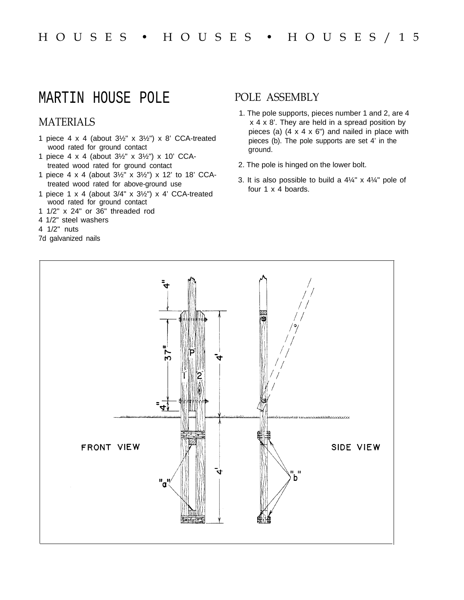# MARTIN HOUSE POLE ASSEMBLY

# **MATERIALS**

- 1 piece 4 x 4 (about  $3\frac{1}{2}$ " x  $3\frac{1}{2}$ ") x 8' CCA-treated wood rated for ground contact
- 1 piece 4 x 4 (about 3½" x 3½") x 10' CCAtreated wood rated for ground contact
- 1 piece 4 x 4 (about 3½" x 3½") x 12' to 18' CCAtreated wood rated for above-ground use
- 1 piece 1 x 4 (about  $3/4$ " x  $3/2$ ") x 4' CCA-treated wood rated for ground contact
- 1 1/2" x 24" or 36" threaded rod
- 4 1/2" steel washers
- 4 1/2" nuts
- 7d galvanized nails

- 1. The pole supports, pieces number 1 and 2, are 4 x 4 x 8'. They are held in a spread position by pieces (a)  $(4 \times 4 \times 6)$  and nailed in place with pieces (b). The pole supports are set 4' in the ground.
- 2. The pole is hinged on the lower bolt.
- 3. It is also possible to build a  $4\frac{1}{4}$ " x  $4\frac{1}{4}$ " pole of four 1 x 4 boards.

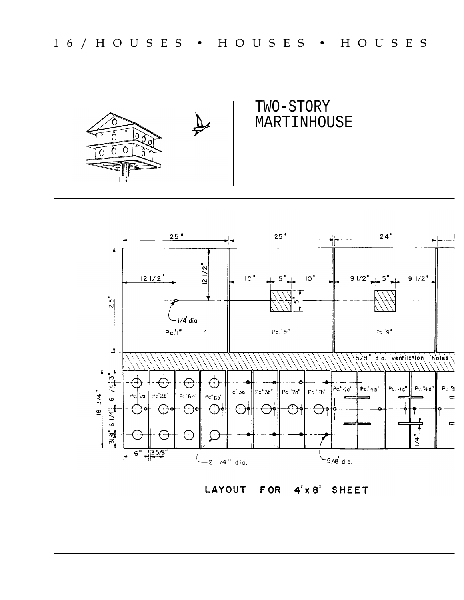

# TWO-STORY MARTINHOUSE

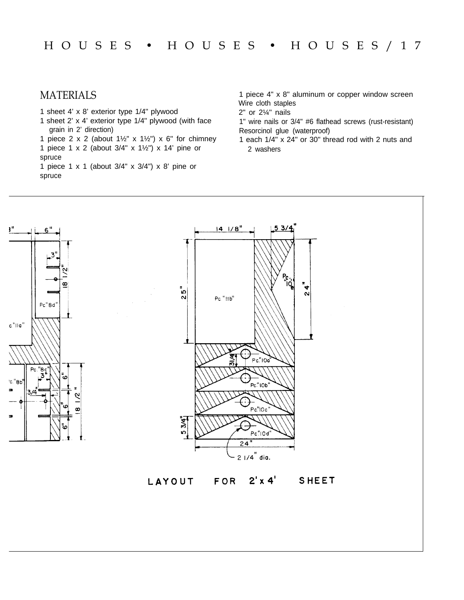- 1 sheet 4' x 8' exterior type 1/4" plywood
- 1 sheet 2' x 4' exterior type 1/4" plywood (with face grain in 2' direction)
- 1 piece 2 x 2 (about  $1\frac{1}{2}$ " x  $1\frac{1}{2}$ ") x 6" for chimney
- 1 piece 1 x 2 (about 3/4" x 1½") x 14' pine or spruce
- 1 piece 1 x 1 (about 3/4" x 3/4") x 8' pine or spruce

MATERIALS 1 piece 4" x 8" aluminum or copper window screen Wire cloth staples

2" or 2¼" nails

- 1" wire nails or 3/4" #6 flathead screws (rust-resistant) Resorcinol glue (waterproof)
- 1 each 1/4" x 24" or 30" thread rod with 2 nuts and 2 washers



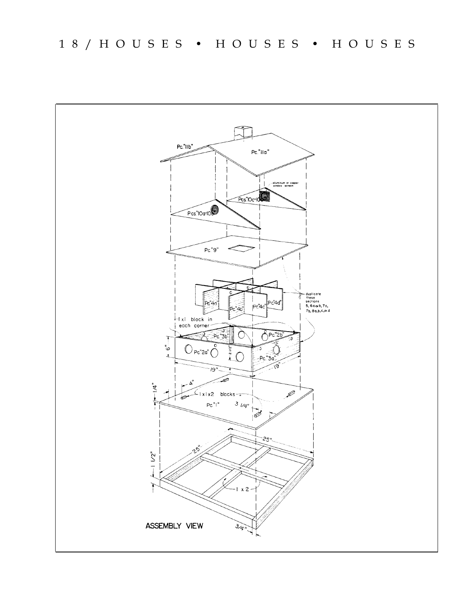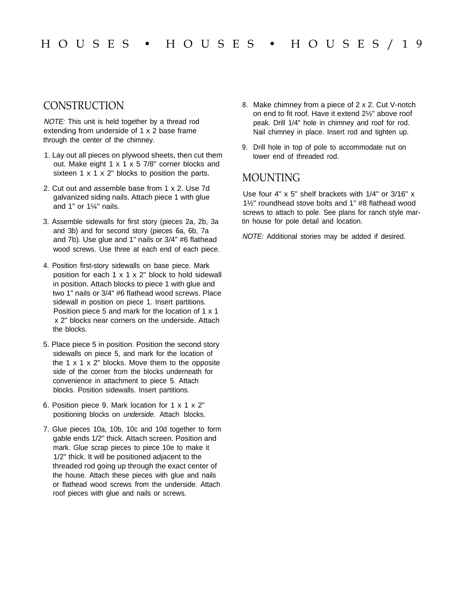#### **CONSTRUCTION**

NOTE: This unit is held together by a thread rod extending from underside of 1 x 2 base frame through the center of the chimney.

- 1. Lay out all pieces on plywood sheets, then cut them out. Make eight 1 x 1 x 5 7/8" corner blocks and sixteen 1  $\times$  1  $\times$  2" blocks to position the parts.
- 2. Cut out and assemble base from 1 x 2. Use 7d galvanized siding nails. Attach piece 1 with glue and 1" or 1¼" nails.
- 3. Assemble sidewalls for first story (pieces 2a, 2b, 3a and 3b) and for second story (pieces 6a, 6b, 7a and 7b). Use glue and 1" nails or 3/4" #6 flathead wood screws. Use three at each end of each piece.
- 4. Position first-story sidewalls on base piece. Mark position for each 1 x 1 x 2" block to hold sidewall in position. Attach blocks to piece 1 with glue and two 1" nails or 3/4" #6 flathead wood screws. Place sidewall in position on piece 1. Insert partitions. Position piece 5 and mark for the location of 1 x 1 x 2" blocks near corners on the underside. Attach the blocks.
- 5. Place piece 5 in position. Position the second story sidewalls on piece 5, and mark for the location of the 1  $\times$  1  $\times$  2" blocks. Move them to the opposite side of the corner from the blocks underneath for convenience in attachment to piece 5. Attach blocks. Position sidewalls. Insert partitions.
- 6. Position piece 9. Mark location for 1 x 1 x 2" positioning blocks on underside. Attach blocks.
- 7. Glue pieces 10a, 10b, 10c and 10d together to form gable ends 1/2" thick. Attach screen. Position and mark. Glue scrap pieces to piece 10e to make it 1/2" thick. It will be positioned adjacent to the threaded rod going up through the exact center of the house. Attach these pieces with glue and nails or flathead wood screws from the underside. Attach roof pieces with glue and nails or screws.
- 8. Make chimney from a piece of 2 x 2. Cut V-notch on end to fit roof. Have it extend 2½" above roof peak. Drill 1/4" hole in chimney and roof for rod. Nail chimney in place. Insert rod and tighten up.
- 9. Drill hole in top of pole to accommodate nut on lower end of threaded rod.

#### **MOUNTING**

Use four 4" x 5" shelf brackets with 1/4" or 3/16" x 1½" roundhead stove bolts and 1" #8 flathead wood screws to attach to pole. See plans for ranch style martin house for pole detail and location.

NOTE: Additional stories may be added if desired.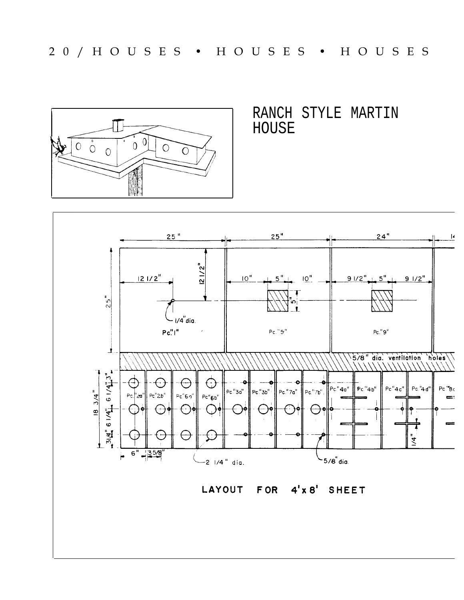

# RANCH STYLE MARTIN HOUSE

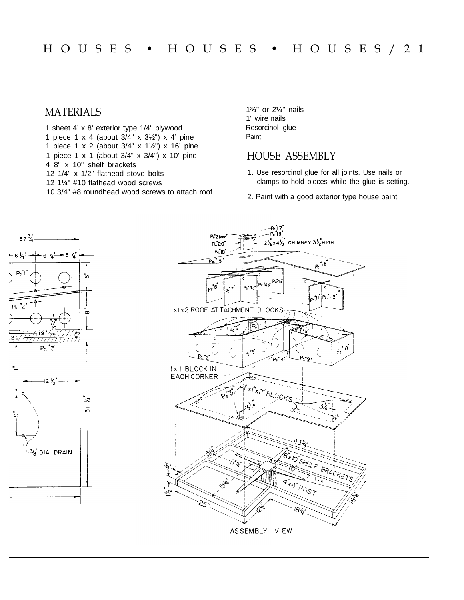# MATERIALS

1 sheet 4' x 8' exterior type 1/4" plywood 1 piece 1 x 4 (about 3/4" x 3½") x 4' pine 1 piece 1 x 2 (about 3/4" x 1½") x 16' pine 1 piece 1 x 1 (about 3/4" x 3/4") x 10' pine 4 8" x 10" shelf brackets 12 1/4" x 1/2" flathead stove bolts 12 1¼" #10 flathead wood screws 10 3/4" #8 roundhead wood screws to attach roof 1¾" or 2¼" nails 1" wire nails Resorcinol glue Paint

# HOUSE ASSEMBLY

- 1. Use resorcinol glue for all joints. Use nails or clamps to hold pieces while the glue is setting.
- 2. Paint with a good exterior type house paint

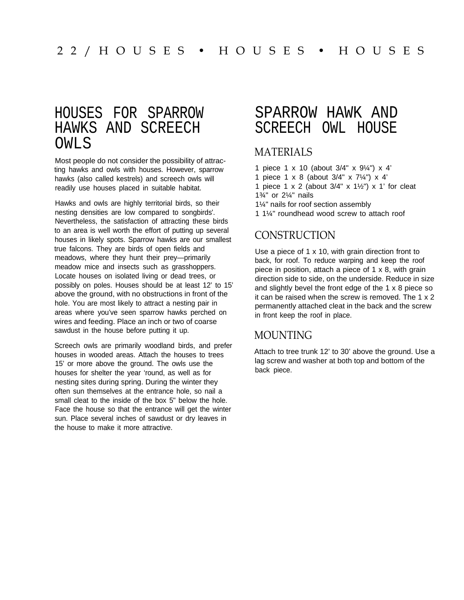# HOUSES FOR SPARROW HAWKS AND SCREECH OWLS

Most people do not consider the possibility of attracting hawks and owls with houses. However, sparrow hawks (also called kestrels) and screech owls will readily use houses placed in suitable habitat.

Hawks and owls are highly territorial birds, so their nesting densities are low compared to songbirds'. Nevertheless, the satisfaction of attracting these birds to an area is well worth the effort of putting up several houses in likely spots. Sparrow hawks are our smallest true falcons. They are birds of open fields and meadows, where they hunt their prey—primarily meadow mice and insects such as grasshoppers. Locate houses on isolated living or dead trees, or possibly on poles. Houses should be at least 12' to 15' above the ground, with no obstructions in front of the hole. You are most likely to attract a nesting pair in areas where you've seen sparrow hawks perched on wires and feeding. Place an inch or two of coarse sawdust in the house before putting it up.

Screech owls are primarily woodland birds, and prefer houses in wooded areas. Attach the houses to trees 15' or more above the ground. The owls use the houses for shelter the year 'round, as well as for nesting sites during spring. During the winter they often sun themselves at the entrance hole, so nail a small cleat to the inside of the box 5" below the hole. Face the house so that the entrance will get the winter sun. Place several inches of sawdust or dry leaves in the house to make it more attractive.

# SPARROW HAWK AND SCREECH OWL HOUSE

#### **MATERIALS**

- 1 piece 1 x 10 (about 3/4" x 9¼") x 4'
- 1 piece 1 x 8 (about 3/4" x 7¼") x 4'
- 1 piece 1 x 2 (about  $3/4$ " x  $1/2$ ") x 1' for cleat 1¾" or 2¼" nails
- 1¼" nails for roof section assembly
- 1 1¼" roundhead wood screw to attach roof

# **CONSTRUCTION**

Use a piece of 1 x 10, with grain direction front to back, for roof. To reduce warping and keep the roof piece in position, attach a piece of  $1 \times 8$ , with grain direction side to side, on the underside. Reduce in size and slightly bevel the front edge of the 1 x 8 piece so it can be raised when the screw is removed. The 1 x 2 permanently attached cleat in the back and the screw in front keep the roof in place.

#### MOUNTING

Attach to tree trunk 12' to 30' above the ground. Use a lag screw and washer at both top and bottom of the back piece.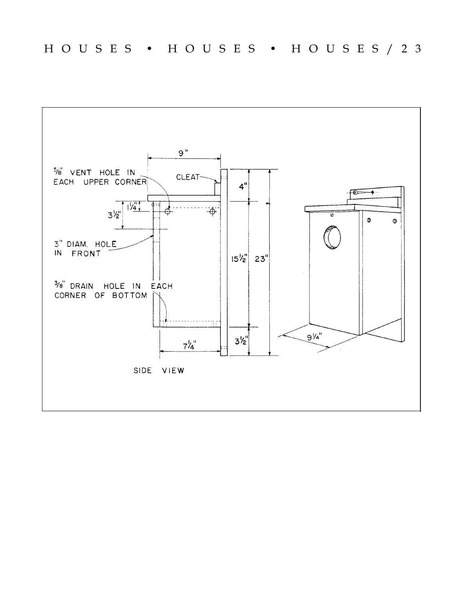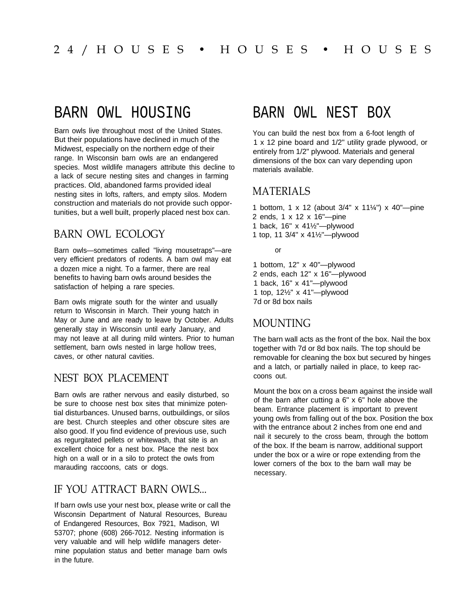# BARN OWL HOUSING

Barn owls live throughout most of the United States. But their populations have declined in much of the Midwest, especially on the northern edge of their range. In Wisconsin barn owls are an endangered species. Most wildlife managers attribute this decline to a lack of secure nesting sites and changes in farming practices. Old, abandoned farms provided ideal nesting sites in lofts, rafters, and empty silos. Modern construction and materials do not provide such opportunities, but a well built, properly placed nest box can.

# BARN OWL ECOLOGY

Barn owls—sometimes called "living mousetraps"—are very efficient predators of rodents. A barn owl may eat a dozen mice a night. To a farmer, there are real benefits to having barn owls around besides the satisfaction of helping a rare species.

Barn owls migrate south for the winter and usually return to Wisconsin in March. Their young hatch in May or June and are ready to leave by October. Adults generally stay in Wisconsin until early January, and may not leave at all during mild winters. Prior to human settlement, barn owls nested in large hollow trees. caves, or other natural cavities.

# NEST BOX PLACEMENT

Barn owls are rather nervous and easily disturbed, so be sure to choose nest box sites that minimize potential disturbances. Unused barns, outbuildings, or silos are best. Church steeples and other obscure sites are also good. If you find evidence of previous use, such as regurgitated pellets or whitewash, that site is an excellent choice for a nest box. Place the nest box high on a wall or in a silo to protect the owls from marauding raccoons, cats or dogs.

# IF YOU ATTRACT BARN OWLS...

If barn owls use your nest box, please write or call the Wisconsin Department of Natural Resources, Bureau of Endangered Resources, Box 7921, Madison, WI 53707; phone (608) 266-7012. Nesting information is very valuable and will help wildlife managers determine population status and better manage barn owls in the future.

# BARN OWL NEST BOX

You can build the nest box from a 6-foot length of 1 x 12 pine board and 1/2" utility grade plywood, or entirely from 1/2" plywood. Materials and general dimensions of the box can vary depending upon materials available.

# **MATERIALS**

1 bottom, 1 x 12 (about 3/4" x 11¼") x 40"—pine 2 ends, 1 x 12 x 16"—pine 1 back, 16" x 41½"—plywood 1 top, 11 3/4" x 41½"—plywood or

2 ends, each 12" x 16"—plywood 1 back, 16" x 41"—plywood 1 top, 12½" x 41"—plywood 7d or 8d box nails 1 bottom, 12" x 40"—plywood

# **MOUNTING**

The barn wall acts as the front of the box. Nail the box together with 7d or 8d box nails. The top should be removable for cleaning the box but secured by hinges and a latch, or partially nailed in place, to keep raccoons out.

Mount the box on a cross beam against the inside wall of the barn after cutting a 6" x 6" hole above the beam. Entrance placement is important to prevent young owls from falling out of the box. Position the box with the entrance about 2 inches from one end and nail it securely to the cross beam, through the bottom of the box. If the beam is narrow, additional support under the box or a wire or rope extending from the lower corners of the box to the barn wall may be necessary.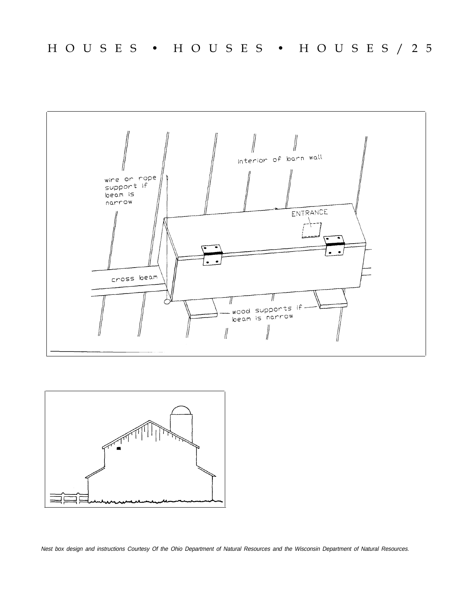



Nest box design and instructions Courtesy Of the Ohio Department of Natural Resources and the Wisconsin Department of Natural Resources.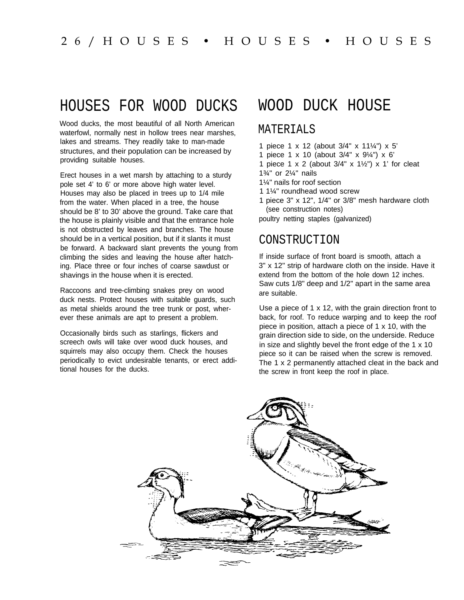# HOUSES FOR WOOD DUCKS

Wood ducks, the most beautiful of all North American waterfowl, normally nest in hollow trees near marshes, lakes and streams. They readily take to man-made structures, and their population can be increased by providing suitable houses.

Erect houses in a wet marsh by attaching to a sturdy pole set 4' to 6' or more above high water level. Houses may also be placed in trees up to 1/4 mile from the water. When placed in a tree, the house should be 8' to 30' above the ground. Take care that the house is plainly visible and that the entrance hole is not obstructed by leaves and branches. The house should be in a vertical position, but if it slants it must be forward. A backward slant prevents the young from climbing the sides and leaving the house after hatching. Place three or four inches of coarse sawdust or shavings in the house when it is erected.

Raccoons and tree-climbing snakes prey on wood duck nests. Protect houses with suitable guards, such as metal shields around the tree trunk or post, wherever these animals are apt to present a problem.

Occasionally birds such as starlings, flickers and screech owls will take over wood duck houses, and squirrels may also occupy them. Check the houses periodically to evict undesirable tenants, or erect additional houses for the ducks.

# WOOD DUCK HOUSE

#### MATERIALS

- 1 piece 1 x 12 (about 3/4" x 11¼") x 5'
- 1 piece 1 x 10 (about 3/4" x 9¼") x 6'
- 1 piece 1 x 2 (about  $3/4$ " x  $1\frac{1}{2}$ ") x 1' for cleat
- 1¾" or 2¼" nails
- 1¼" nails for roof section
- 1 1¼" roundhead wood screw
- 1 piece 3" x 12", 1/4" or 3/8" mesh hardware cloth (see construction notes)
- poultry netting staples (galvanized)

# CONSTRUCTION

If inside surface of front board is smooth, attach a 3" x 12" strip of hardware cloth on the inside. Have it extend from the bottom of the hole down 12 inches. Saw cuts 1/8" deep and 1/2" apart in the same area are suitable.

Use a piece of 1 x 12, with the grain direction front to back, for roof. To reduce warping and to keep the roof piece in position, attach a piece of 1 x 10, with the grain direction side to side, on the underside. Reduce in size and slightly bevel the front edge of the 1 x 10 piece so it can be raised when the screw is removed. The 1 x 2 permanently attached cleat in the back and the screw in front keep the roof in place.

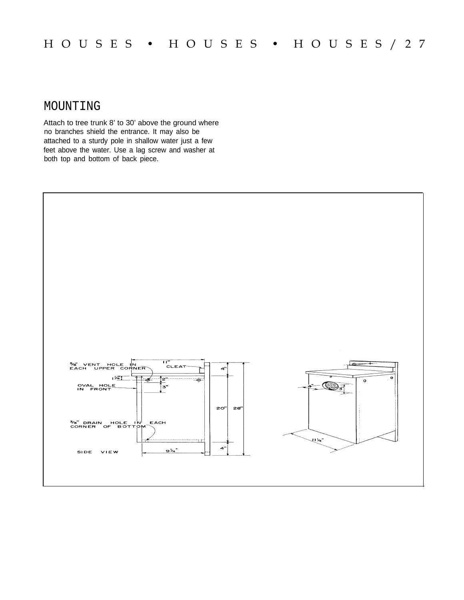# MOUNTING

Attach to tree trunk 8' to 30' above the ground where no branches shield the entrance. It may also be attached to a sturdy pole in shallow water just a few feet above the water. Use a lag screw and washer at both top and bottom of back piece.

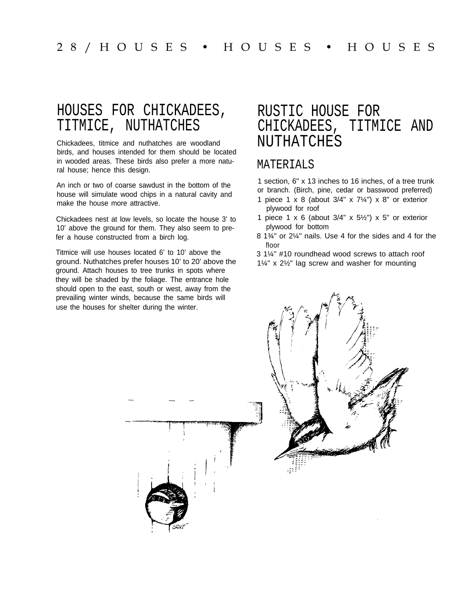# HOUSES FOR CHICKADEES, TITMICE, NUTHATCHES

Chickadees, titmice and nuthatches are woodland birds, and houses intended for them should be located in wooded areas. These birds also prefer a more natural house; hence this design.

An inch or two of coarse sawdust in the bottom of the house will simulate wood chips in a natural cavity and make the house more attractive.

Chickadees nest at low levels, so locate the house 3' to 10' above the ground for them. They also seem to prefer a house constructed from a birch log.

Titmice will use houses located 6' to 10' above the ground. Nuthatches prefer houses 10' to 20' above the ground. Attach houses to tree trunks in spots where they will be shaded by the foliage. The entrance hole should open to the east, south or west, away from the prevailing winter winds, because the same birds will use the houses for shelter during the winter.

# RUSTIC HOUSE FOR CHICKADEES, TITMICE AND NUTHATCHES

#### MATERIALS

1 section, 6" x 13 inches to 16 inches, of a tree trunk or branch. (Birch, pine, cedar or basswood preferred)

- 1 piece 1 x 8 (about  $3/4$ " x  $7\frac{1}{4}$ ") x 8" or exterior plywood for roof
- 1 piece 1 x 6 (about  $3/4$ " x  $5\frac{1}{2}$ ") x 5" or exterior plywood for bottom
- 8 1¾" or 2¼" nails. Use 4 for the sides and 4 for the floor
- 3 1¼" #10 roundhead wood screws to attach roof
- 1¼" x 2½" lag screw and washer for mounting

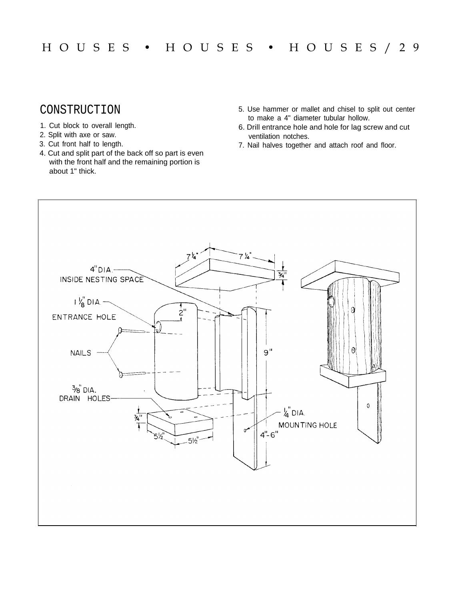# CONSTRUCTION

- 1. Cut block to overall length.
- 2. Split with axe or saw.
- 3. Cut front half to length.
- 4. Cut and split part of the back off so part is even with the front half and the remaining portion is about 1" thick.
- 5. Use hammer or mallet and chisel to split out center to make a 4" diameter tubular hollow.
- 6. Drill entrance hole and hole for lag screw and cut ventilation notches.
- 7. Nail halves together and attach roof and floor.

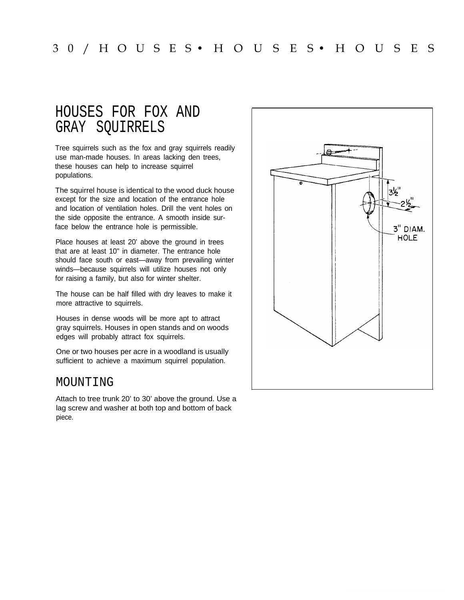# HOUSES FOR FOX AND GRAY SQUIRRELS

Tree squirrels such as the fox and gray squirrels readily use man-made houses. In areas lacking den trees, these houses can help to increase squirrel populations.

The squirrel house is identical to the wood duck house except for the size and location of the entrance hole and location of ventilation holes. Drill the vent holes on the side opposite the entrance. A smooth inside surface below the entrance hole is permissible.

Place houses at least 20' above the ground in trees that are at least 10" in diameter. The entrance hole should face south or east—away from prevailing winter winds—because squirrels will utilize houses not only for raising a family, but also for winter shelter.

The house can be half filled with dry leaves to make it more attractive to squirrels.

Houses in dense woods will be more apt to attract gray squirrels. Houses in open stands and on woods edges will probably attract fox squirrels.

One or two houses per acre in a woodland is usually sufficient to achieve a maximum squirrel population.

#### MOUNTING

Attach to tree trunk 20' to 30' above the ground. Use a lag screw and washer at both top and bottom of back piece.

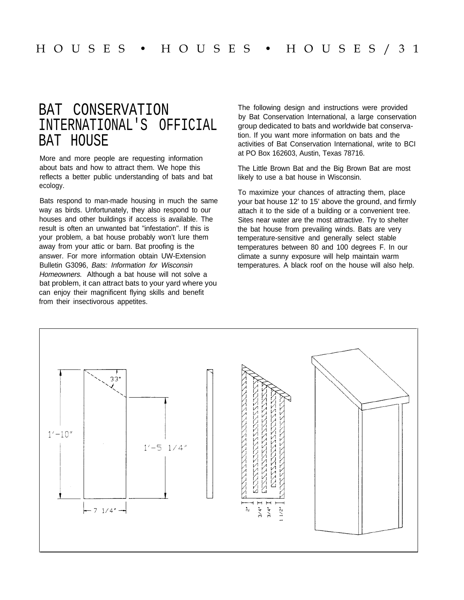# BAT CONSERVATION INTERNATIONAL'S OFFICIAL BAT HOUSE

More and more people are requesting information about bats and how to attract them. We hope this reflects a better public understanding of bats and bat ecology.

Bats respond to man-made housing in much the same way as birds. Unfortunately, they also respond to our houses and other buildings if access is available. The result is often an unwanted bat "infestation". If this is your problem, a bat house probably won't lure them away from your attic or barn. Bat proofing is the answer. For more information obtain UW-Extension Bulletin G3096, Bats: Information for Wisconsin Homeowners. Although a bat house will not solve a bat problem, it can attract bats to your yard where you can enjoy their magnificent flying skills and benefit from their insectivorous appetites.

The following design and instructions were provided by Bat Conservation International, a large conservation group dedicated to bats and worldwide bat conservation. If you want more information on bats and the activities of Bat Conservation International, write to BCI at PO Box 162603, Austin, Texas 78716.

The Little Brown Bat and the Big Brown Bat are most likely to use a bat house in Wisconsin.

To maximize your chances of attracting them, place your bat house 12' to 15' above the ground, and firmly attach it to the side of a building or a convenient tree. Sites near water are the most attractive. Try to shelter the bat house from prevailing winds. Bats are very temperature-sensitive and generally select stable temperatures between 80 and 100 degrees F. In our climate a sunny exposure will help maintain warm temperatures. A black roof on the house will also help.

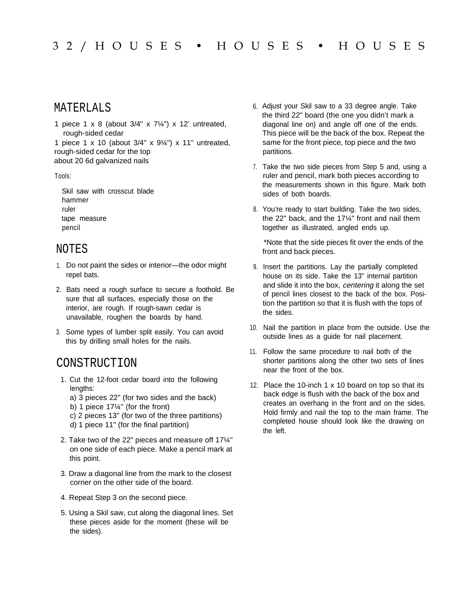#### MATERLALS

1 piece 1 x 8 (about  $3/4$ " x  $7\frac{1}{4}$ ") x 12' untreated, rough-sided cedar

1 piece 1 x 10 (about  $3/4$ " x  $9\frac{1}{4}$ ") x 11" untreated, rough-sided cedar for the top about 20 6d galvanized nails

Tools:

Skil saw with crosscut blade hammer ruler tape measure pencil

#### NOTES

- 1. Do not paint the sides or interior—the odor might repel bats.
- 2. Bats need a rough surface to secure a foothold. Be sure that all surfaces, especially those on the interior, are rough. If rough-sawn cedar is unavailable, roughen the boards by hand.
- 3. Some types of lumber split easily. You can avoid this by drilling small holes for the nails.

# CONSTRUCTION

- 1. Cut the 12-foot cedar board into the following lengths:
	- a) 3 pieces 22" (for two sides and the back)
	- b) 1 piece 17¼" (for the front)
	- c) 2 pieces 13" (for two of the three partitions)
	- d) 1 piece 11" (for the final partition)
- 2. Take two of the 22" pieces and measure off 17¼" on one side of each piece. Make a pencil mark at this point.
- 3. Draw a diagonal line from the mark to the closest corner on the other side of the board.
- 4. Repeat Step 3 on the second piece.
- 5. Using a Skil saw, cut along the diagonal lines. Set these pieces aside for the moment (these will be the sides).
- 6. Adjust your Skil saw to a 33 degree angle. Take the third 22" board (the one you didn't mark a diagonal line on) and angle off one of the ends. This piece will be the back of the box. Repeat the same for the front piece, top piece and the two partitions.
- 7. Take the two side pieces from Step 5 and, using a ruler and pencil, mark both pieces according to the measurements shown in this figure. Mark both sides of both boards.
- 8. You're ready to start building. Take the two sides, the 22" back, and the 17¼" front and nail them together as illustrated, angled ends up.

\*Note that the side pieces fit over the ends of the front and back pieces.

- 9. Insert the partitions. Lay the partially completed house on its side. Take the 13" internal partition and slide it into the box, centering it along the set of pencil lines closest to the back of the box. Position the partition so that it is flush with the tops of the sides.
- 10. Nail the partition in place from the outside. Use the outside lines as a guide for nail placement.
- 11. Follow the same procedure to nail both of the shorter partitions along the other two sets of lines near the front of the box.
- 12. Place the 10-inch 1 x 10 board on top so that its back edge is flush with the back of the box and creates an overhang in the front and on the sides. Hold firmly and nail the top to the main frame. The completed house should look like the drawing on the left.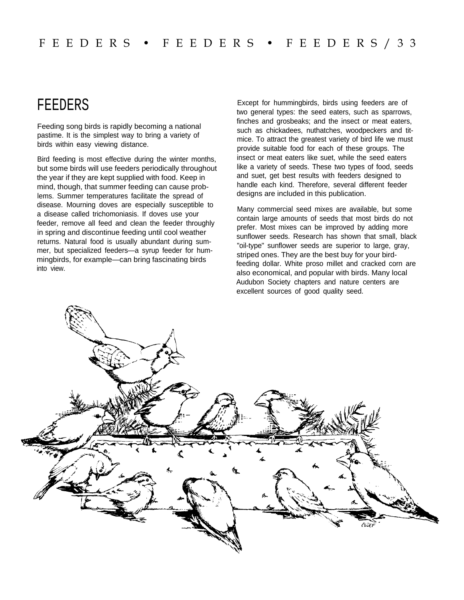# FEEDERS

Feeding song birds is rapidly becoming a national pastime. It is the simplest way to bring a variety of birds within easy viewing distance.

Bird feeding is most effective during the winter months, but some birds will use feeders periodically throughout the year if they are kept supplied with food. Keep in mind, though, that summer feeding can cause problems. Summer temperatures facilitate the spread of disease. Mourning doves are especially susceptible to a disease called trichomoniasis. If doves use your feeder, remove all feed and clean the feeder throughly in spring and discontinue feeding until cool weather returns. Natural food is usually abundant during summer, but specialized feeders—a syrup feeder for hummingbirds, for example—can bring fascinating birds into view.

Except for hummingbirds, birds using feeders are of two general types: the seed eaters, such as sparrows, finches and grosbeaks; and the insect or meat eaters, such as chickadees, nuthatches, woodpeckers and titmice. To attract the greatest variety of bird life we must provide suitable food for each of these groups. The insect or meat eaters like suet, while the seed eaters like a variety of seeds. These two types of food, seeds and suet, get best results with feeders designed to handle each kind. Therefore, several different feeder designs are included in this publication.

Many commercial seed mixes are available, but some contain large amounts of seeds that most birds do not prefer. Most mixes can be improved by adding more sunflower seeds. Research has shown that small, black "oil-type" sunflower seeds are superior to large, gray, striped ones. They are the best buy for your birdfeeding dollar. White proso millet and cracked corn are also economical, and popular with birds. Many local Audubon Society chapters and nature centers are excellent sources of good quality seed.

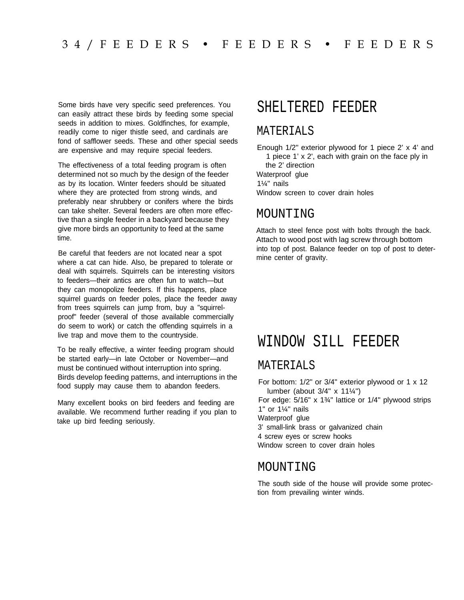Some birds have very specific seed preferences. You can easily attract these birds by feeding some special seeds in addition to mixes. Goldfinches, for example, readily come to niger thistle seed, and cardinals are fond of safflower seeds. These and other special seeds are expensive and may require special feeders.

The effectiveness of a total feeding program is often determined not so much by the design of the feeder as by its location. Winter feeders should be situated where they are protected from strong winds, and preferably near shrubbery or conifers where the birds can take shelter. Several feeders are often more effective than a single feeder in a backyard because they give more birds an opportunity to feed at the same time.

Be careful that feeders are not located near a spot where a cat can hide. Also, be prepared to tolerate or deal with squirrels. Squirrels can be interesting visitors to feeders—their antics are often fun to watch—but they can monopolize feeders. If this happens, place squirrel guards on feeder poles, place the feeder away from trees squirrels can jump from, buy a "squirrelproof" feeder (several of those available commercially do seem to work) or catch the offending squirrels in a live trap and move them to the countryside.

To be really effective, a winter feeding program should be started early—in late October or November—and must be continued without interruption into spring. Birds develop feeding patterns, and interruptions in the food supply may cause them to abandon feeders.

Many excellent books on bird feeders and feeding are available. We recommend further reading if you plan to take up bird feeding seriously.

# SHELTERED FEEDER

#### **MATERIALS**

Enough 1/2" exterior plywood for 1 piece 2' x 4' and 1 piece 1' x 2', each with grain on the face ply in the 2' direction Waterproof glue 1¼" nails Window screen to cover drain holes

#### MOUNTING

Attach to steel fence post with bolts through the back. Attach to wood post with lag screw through bottom into top of post. Balance feeder on top of post to determine center of gravity.

# WINDOW SILL FEEDER

#### MATERIALS

For bottom: 1/2" or 3/4" exterior plywood or 1 x 12 lumber (about 3/4" x 11¼") For edge: 5/16" x 1¾" lattice or 1/4" plywood strips 1" or 1¼" nails Waterproof glue 3' small-link brass or galvanized chain 4 screw eyes or screw hooks Window screen to cover drain holes

#### MOUNTING

The south side of the house will provide some protection from prevailing winter winds.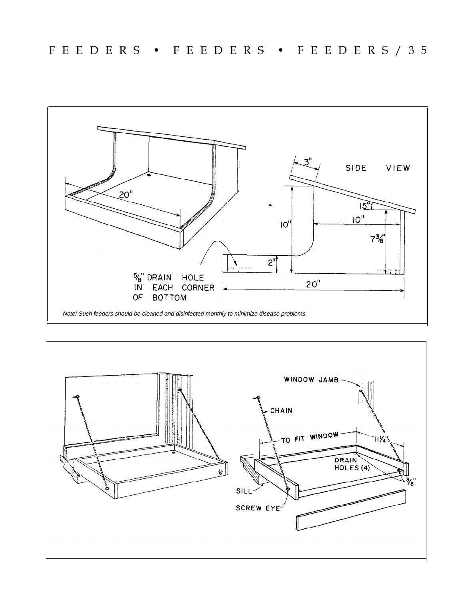

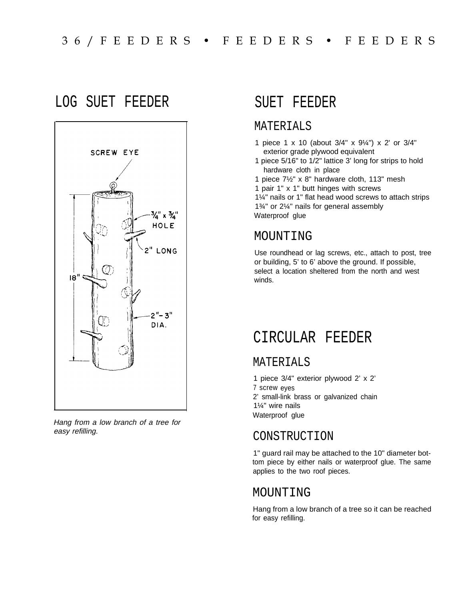# LOG SUET FEEDER



Hang from a low branch of a tree for easy refilling.

# SUET FEEDER

#### MATERIALS

- 1 piece 1 x 10 (about 3/4" x 9¼") x 2' or 3/4" exterior grade plywood equivalent
- 1 piece 5/16" to 1/2" lattice 3' long for strips to hold hardware cloth in place
- 1 piece 7½" x 8" hardware cloth, 113" mesh
- 1 pair 1" x 1" butt hinges with screws
- 1¼" nails or 1" flat head wood screws to attach strips 1¾" or 2¼" nails for general assembly

Waterproof glue

#### MOUNTING

Use roundhead or lag screws, etc., attach to post, tree or building, 5' to 6' above the ground. If possible, select a location sheltered from the north and west winds.

# CIRCULAR FEEDER

#### MATERIALS

- 1 piece 3/4" exterior plywood 2' x 2'
- 7 screw eyes
- 2' small-link brass or galvanized chain 1¼" wire nails
- Waterproof glue

#### CONSTRUCTION

1" guard rail may be attached to the 10" diameter bottom piece by either nails or waterproof glue. The same applies to the two roof pieces.

#### MOUNTING

Hang from a low branch of a tree so it can be reached for easy refilling.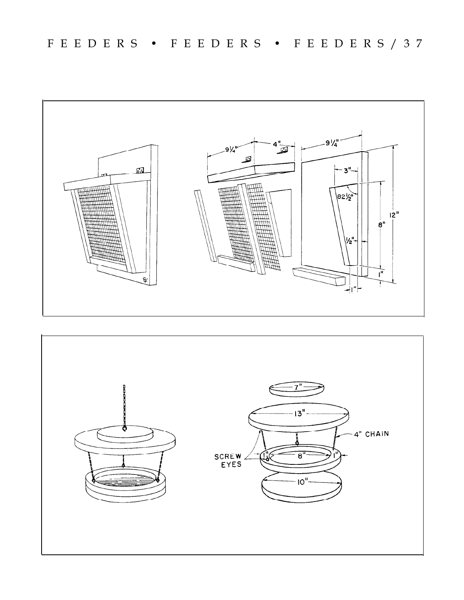

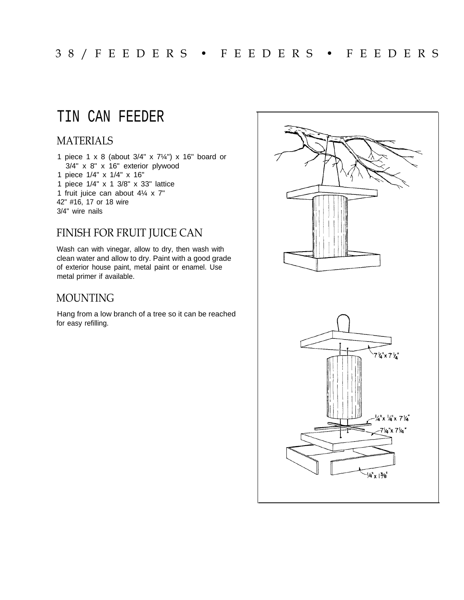# TIN CAN FEEDER

# MATERIALS

1 piece 1 x 8 (about 3/4" x 7¼") x 16" board or 3/4" x 8" x 16" exterior plywood 1 piece 1/4" x 1/4" x 16" 1 piece 1/4" x 1 3/8" x 33" lattice 1 fruit juice can about 4¼ x 7" 42" #16, 17 or 18 wire 3/4" wire nails

# FINISH FOR FRUIT JUICE CAN

Wash can with vinegar, allow to dry, then wash with clean water and allow to dry. Paint with a good grade of exterior house paint, metal paint or enamel. Use metal primer if available.

# MOUNTING

Hang from a low branch of a tree so it can be reached for easy refilling.

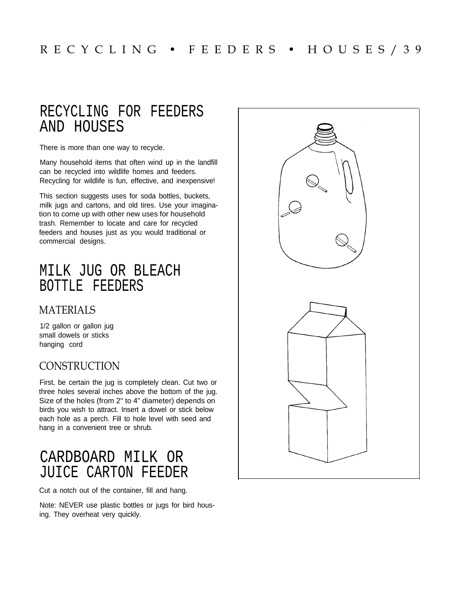# RECYCLING FOR FEEDERS AND HOUSES

There is more than one way to recycle.

Many household items that often wind up in the landfill can be recycled into wildlife homes and feeders. Recycling for wildlife is fun, effective, and inexpensive!

This section suggests uses for soda bottles, buckets, milk jugs and cartons, and old tires. Use your imagination to come up with other new uses for household trash. Remember to locate and care for recycled feeders and houses just as you would traditional or commercial designs.

# MILK JUG OR BLEACH BOTTLE FEEDERS

# **MATERIALS**

1/2 gallon or gallon jug small dowels or sticks hanging cord

# **CONSTRUCTION**

First, be certain the jug is completely clean. Cut two or three holes several inches above the bottom of the jug. Size of the holes (from 2" to 4" diameter) depends on birds you wish to attract. Insert a dowel or stick below each hole as a perch. Fill to hole level with seed and hang in a convenient tree or shrub.

# CARDBOARD MILK OR JUICE CARTON FEEDER

Cut a notch out of the container, fill and hang.

Note: NEVER use plastic bottles or jugs for bird housing. They overheat very quickly.

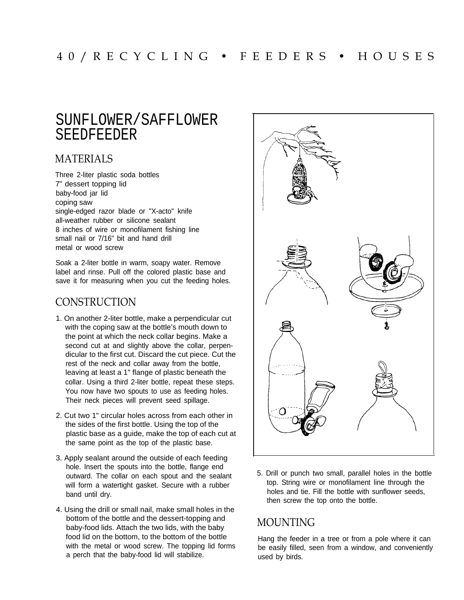# SUNFLOWER/SAFFLOWER SEEDFEEDER

#### MATERIALS

Three 2-liter plastic soda bottles 7" dessert topping lid baby-food jar lid coping saw single-edged razor blade or "X-acto" knife all-weather rubber or silicone sealant 8 inches of wire or monofilament fishing line small nail or 7/16" bit and hand drill metal or wood screw

Soak a 2-liter bottle in warm, soapy water. Remove label and rinse. Pull off the colored plastic base and save it for measuring when you cut the feeding holes.

# **CONSTRUCTION**

- 1. On another 2-liter bottle, make a perpendicular cut with the coping saw at the bottle's mouth down to the point at which the neck collar begins. Make a second cut at and slightly above the collar, perpendicular to the first cut. Discard the cut piece. Cut the rest of the neck and collar away from the bottle, leaving at least a 1" flange of plastic beneath the collar. Using a third 2-liter bottle, repeat these steps. You now have two spouts to use as feeding holes. Their neck pieces will prevent seed spillage.
- 2. Cut two 1" circular holes across from each other in the sides of the first bottle. Using the top of the plastic base as a guide, make the top of each cut at the same point as the top of the plastic base.
- 3. Apply sealant around the outside of each feeding hole. Insert the spouts into the bottle, flange end outward. The collar on each spout and the sealant will form a watertight gasket. Secure with a rubber band until dry.
- 4. Using the drill or small nail, make small holes in the bottom of the bottle and the dessert-topping and baby-food lids. Attach the two lids, with the baby food lid on the bottom, to the bottom of the bottle with the metal or wood screw. The topping lid forms a perch that the baby-food lid will stabilize.



5. Drill or punch two small, parallel holes in the bottle top. String wire or monofilament line through the holes and tie. Fill the bottle with sunflower seeds, then screw the top onto the bottle.

# MOUNTING

Hang the feeder in a tree or from a pole where it can be easily filled, seen from a window, and conveniently used by birds.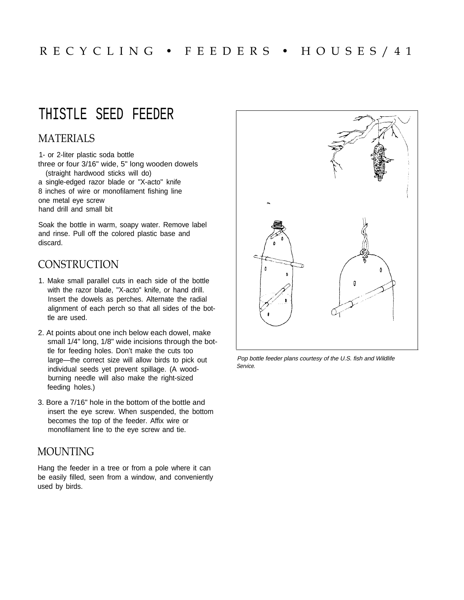# THISTLE SEED FEEDER

# MATERIALS

1- or 2-liter plastic soda bottle three or four 3/16" wide, 5" long wooden dowels (straight hardwood sticks will do) a single-edged razor blade or "X-acto" knife 8 inches of wire or monofilament fishing line one metal eye screw hand drill and small bit

Soak the bottle in warm, soapy water. Remove label and rinse. Pull off the colored plastic base and discard.

# **CONSTRUCTION**

- 1. Make small parallel cuts in each side of the bottle with the razor blade, "X-acto" knife, or hand drill. Insert the dowels as perches. Alternate the radial alignment of each perch so that all sides of the bottle are used.
- 2. At points about one inch below each dowel, make small 1/4" long, 1/8" wide incisions through the bottle for feeding holes. Don't make the cuts too large—the correct size will allow birds to pick out individual seeds yet prevent spillage. (A woodburning needle will also make the right-sized feeding holes.)
- 3. Bore a 7/16" hole in the bottom of the bottle and insert the eye screw. When suspended, the bottom becomes the top of the feeder. Affix wire or monofilament line to the eye screw and tie.

# MOUNTING

Hang the feeder in a tree or from a pole where it can be easily filled, seen from a window, and conveniently used by birds.



Pop bottle feeder plans courtesy of the U.S. fish and Wildlife Service.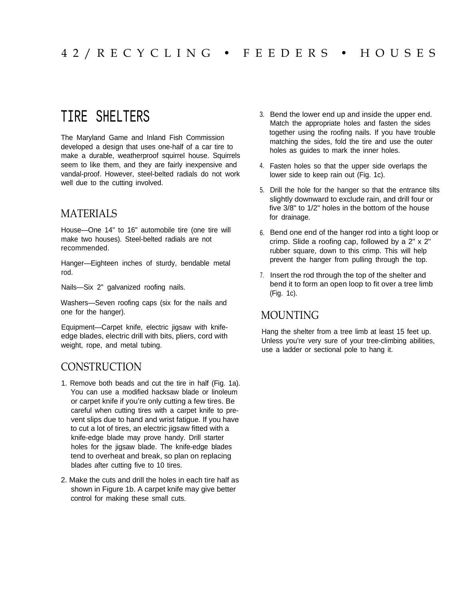# TIRE SHELTERS

The Maryland Game and Inland Fish Commission developed a design that uses one-half of a car tire to make a durable, weatherproof squirrel house. Squirrels seem to like them, and they are fairly inexpensive and vandal-proof. However, steel-belted radials do not work well due to the cutting involved.

# MATERIALS

House—One 14" to 16" automobile tire (one tire will make two houses). Steel-belted radials are not recommended.

Hanger—Eighteen inches of sturdy, bendable metal rod.

Nails—Six 2" galvanized roofing nails.

Washers—Seven roofing caps (six for the nails and one for the hanger).

Equipment—Carpet knife, electric jigsaw with knifeedge blades, electric drill with bits, pliers, cord with weight, rope, and metal tubing.

# **CONSTRUCTION**

- 1. Remove both beads and cut the tire in half (Fig. 1a). You can use a modified hacksaw blade or linoleum or carpet knife if you're only cutting a few tires. Be careful when cutting tires with a carpet knife to prevent slips due to hand and wrist fatigue. If you have to cut a lot of tires, an electric jigsaw fitted with a knife-edge blade may prove handy. Drill starter holes for the jigsaw blade. The knife-edge blades tend to overheat and break, so plan on replacing blades after cutting five to 10 tires.
- 2. Make the cuts and drill the holes in each tire half as shown in Figure 1b. A carpet knife may give better control for making these small cuts.
- 3. Bend the lower end up and inside the upper end. Match the appropriate holes and fasten the sides together using the roofing nails. If you have trouble matching the sides, fold the tire and use the outer holes as guides to mark the inner holes.
- 4. Fasten holes so that the upper side overlaps the lower side to keep rain out (Fig. 1c).
- 5. Drill the hole for the hanger so that the entrance tilts slightly downward to exclude rain, and drill four or five 3/8" to 1/2" holes in the bottom of the house for drainage.
- 6. Bend one end of the hanger rod into a tight loop or crimp. Slide a roofing cap, followed by a 2" x 2" rubber square, down to this crimp. This will help prevent the hanger from pulling through the top.
- 7. Insert the rod through the top of the shelter and bend it to form an open loop to fit over a tree limb (Fig. 1c).

# MOUNTING

Hang the shelter from a tree limb at least 15 feet up. Unless you're very sure of your tree-climbing abilities, use a ladder or sectional pole to hang it.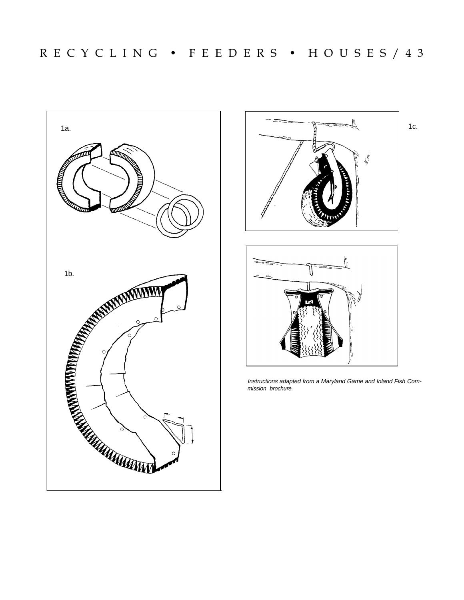



Instructions adapted from a Maryland Game and Inland Fish Commission brochure.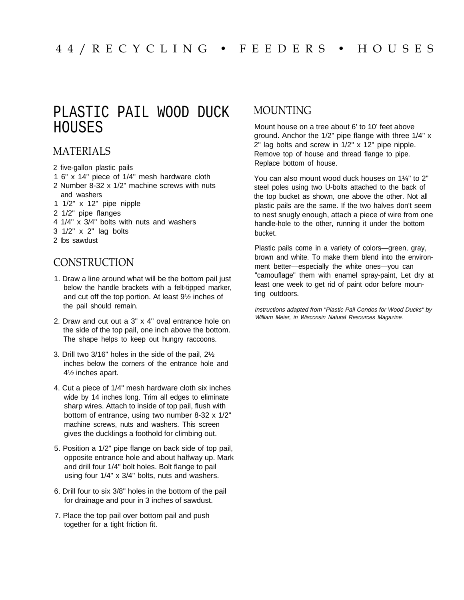# PLASTIC PAIL WOOD DUCK HOUSES

#### **MATERIALS**

- 2 five-gallon plastic pails
- 1 6" x 14" piece of 1/4" mesh hardware cloth
- 2 Number 8-32 x 1/2" machine screws with nuts and washers
- 1 1/2" x 12" pipe nipple
- 2 1/2" pipe flanges
- 4 1/4" x 3/4" bolts with nuts and washers
- 3 1/2" x 2" lag bolts
- 2 Ibs sawdust

# **CONSTRUCTION**

- 1. Draw a line around what will be the bottom pail just below the handle brackets with a felt-tipped marker, and cut off the top portion. At least 9½ inches of the pail should remain.
- 2. Draw and cut out a 3" x 4" oval entrance hole on the side of the top pail, one inch above the bottom. The shape helps to keep out hungry raccoons.
- 3. Drill two 3/16" holes in the side of the pail, 2½ inches below the corners of the entrance hole and 4½ inches apart.
- 4. Cut a piece of 1/4" mesh hardware cloth six inches wide by 14 inches long. Trim all edges to eliminate sharp wires. Attach to inside of top pail, flush with bottom of entrance, using two number 8-32 x 1/2" machine screws, nuts and washers. This screen gives the ducklings a foothold for climbing out.
- 5. Position a 1/2" pipe flange on back side of top pail, opposite entrance hole and about halfway up. Mark and drill four 1/4" bolt holes. Bolt flange to pail using four 1/4" x 3/4" bolts, nuts and washers.
- 6. Drill four to six 3/8" holes in the bottom of the pail for drainage and pour in 3 inches of sawdust.
- 7. Place the top pail over bottom pail and push together for a tight friction fit.

# MOUNTING

Mount house on a tree about 6' to 10' feet above ground. Anchor the 1/2" pipe flange with three 1/4" x 2" lag bolts and screw in 1/2" x 12" pipe nipple. Remove top of house and thread flange to pipe. Replace bottom of house.

You can also mount wood duck houses on 1¼" to 2" steel poles using two U-bolts attached to the back of the top bucket as shown, one above the other. Not all plastic pails are the same. If the two halves don't seem to nest snugly enough, attach a piece of wire from one handle-hole to the other, running it under the bottom bucket.

Plastic pails come in a variety of colors—green, gray, brown and white. To make them blend into the environment better—especially the white ones—you can "camouflage" them with enamel spray-paint, Let dry at least one week to get rid of paint odor before mounting outdoors.

Instructions adapted from "Plastic Pail Condos for Wood Ducks" by William Meier, in Wisconsin Natural Resources Magazine.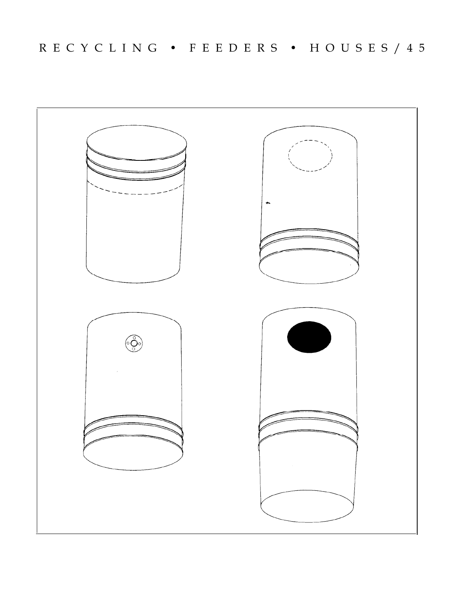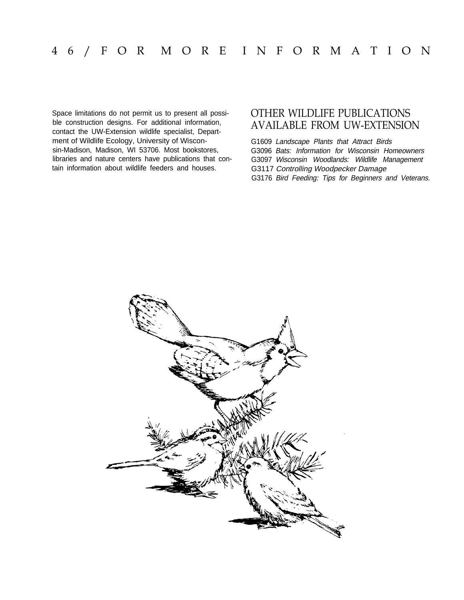ble construction designs. For additional information, ble construction designs. For additional information, AVAILABLE FROM UW-EXTENSION contact the UW-Extension wildlife specialist, Department of Wildlife Ecology, University of Wisconsin-Madison, Madison, WI 53706. Most bookstores, libraries and nature centers have publications that contain information about wildlife feeders and houses.

# Space limitations do not permit us to present all possi- OTHER WILDLIFE PUBLICATIONS

G1609 Landscape Plants that Attract Birds G3096 Bats: Information for Wisconsin Homeowners G3097 Wisconsin Woodlands: Wildlife Management G3117 Controlling Woodpecker Damage G3176 Bird Feeding: Tips for Beginners and Veterans.

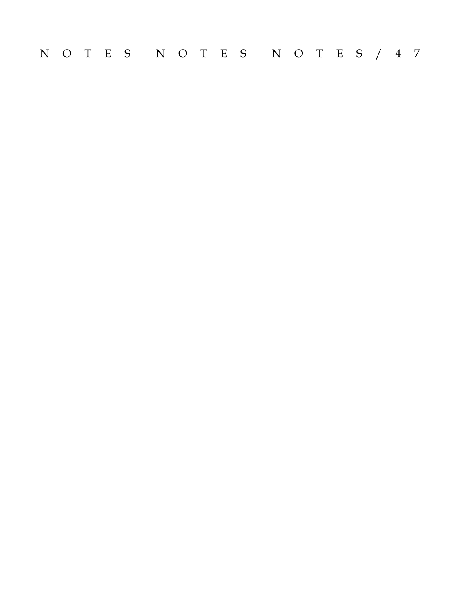# NOTES NOTES NOTES/47